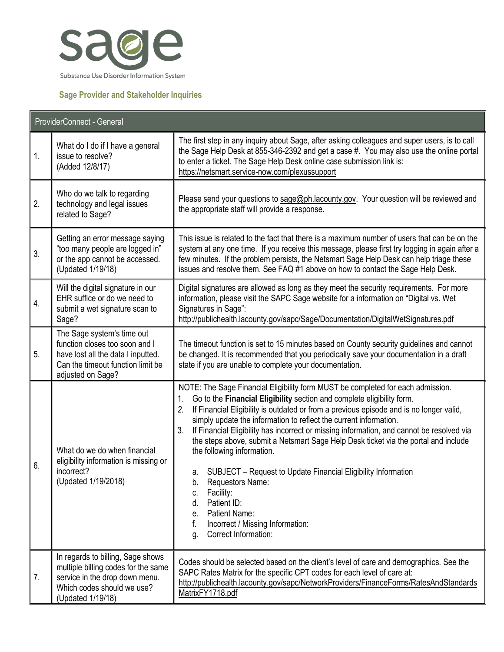

## **Sage Provider and Stakeholder Inquiries**

| ProviderConnect - General |                                                                                                                                                               |                                                                                                                                                                                                                                                                                                                                                                                                                                                                                                                                                                                                                                                                                                                                                                                              |
|---------------------------|---------------------------------------------------------------------------------------------------------------------------------------------------------------|----------------------------------------------------------------------------------------------------------------------------------------------------------------------------------------------------------------------------------------------------------------------------------------------------------------------------------------------------------------------------------------------------------------------------------------------------------------------------------------------------------------------------------------------------------------------------------------------------------------------------------------------------------------------------------------------------------------------------------------------------------------------------------------------|
| 1.                        | What do I do if I have a general<br>issue to resolve?<br>(Added 12/8/17)                                                                                      | The first step in any inquiry about Sage, after asking colleagues and super users, is to call<br>the Sage Help Desk at 855-346-2392 and get a case #. You may also use the online portal<br>to enter a ticket. The Sage Help Desk online case submission link is:<br>https://netsmart.service-now.com/plexussupport                                                                                                                                                                                                                                                                                                                                                                                                                                                                          |
| 2.                        | Who do we talk to regarding<br>technology and legal issues<br>related to Sage?                                                                                | Please send your questions to sage@ph.lacounty.gov. Your question will be reviewed and<br>the appropriate staff will provide a response.                                                                                                                                                                                                                                                                                                                                                                                                                                                                                                                                                                                                                                                     |
| 3.                        | Getting an error message saying<br>"too many people are logged in"<br>or the app cannot be accessed.<br>(Updated 1/19/18)                                     | This issue is related to the fact that there is a maximum number of users that can be on the<br>system at any one time. If you receive this message, please first try logging in again after a<br>few minutes. If the problem persists, the Netsmart Sage Help Desk can help triage these<br>issues and resolve them. See FAQ #1 above on how to contact the Sage Help Desk.                                                                                                                                                                                                                                                                                                                                                                                                                 |
| 4.                        | Will the digital signature in our<br>EHR suffice or do we need to<br>submit a wet signature scan to<br>Sage?                                                  | Digital signatures are allowed as long as they meet the security requirements. For more<br>information, please visit the SAPC Sage website for a information on "Digital vs. Wet<br>Signatures in Sage":<br>http://publichealth.lacounty.gov/sapc/Sage/Documentation/DigitalWetSignatures.pdf                                                                                                                                                                                                                                                                                                                                                                                                                                                                                                |
| 5.                        | The Sage system's time out<br>function closes too soon and I<br>have lost all the data I inputted.<br>Can the timeout function limit be<br>adjusted on Sage?  | The timeout function is set to 15 minutes based on County security guidelines and cannot<br>be changed. It is recommended that you periodically save your documentation in a draft<br>state if you are unable to complete your documentation.                                                                                                                                                                                                                                                                                                                                                                                                                                                                                                                                                |
| 6.                        | What do we do when financial<br>eligibility information is missing or<br>incorrect?<br>(Updated 1/19/2018)                                                    | NOTE: The Sage Financial Eligibility form MUST be completed for each admission.<br>Go to the Financial Eligibility section and complete eligibility form.<br>If Financial Eligibility is outdated or from a previous episode and is no longer valid,<br>2.<br>simply update the information to reflect the current information.<br>3.<br>If Financial Eligibility has incorrect or missing information, and cannot be resolved via<br>the steps above, submit a Netsmart Sage Help Desk ticket via the portal and include<br>the following information.<br>a. SUBJECT - Request to Update Financial Eligibility Information<br>Requestors Name:<br>b.<br>Facility:<br>C.<br>Patient ID:<br>d.<br>Patient Name:<br>е.<br>f.<br>Incorrect / Missing Information:<br>Correct Information:<br>q. |
| 7.                        | In regards to billing, Sage shows<br>multiple billing codes for the same<br>service in the drop down menu.<br>Which codes should we use?<br>(Updated 1/19/18) | Codes should be selected based on the client's level of care and demographics. See the<br>SAPC Rates Matrix for the specific CPT codes for each level of care at:<br>http://publichealth.lacounty.gov/sapc/NetworkProviders/FinanceForms/RatesAndStandards<br>MatrixFY1718.pdf                                                                                                                                                                                                                                                                                                                                                                                                                                                                                                               |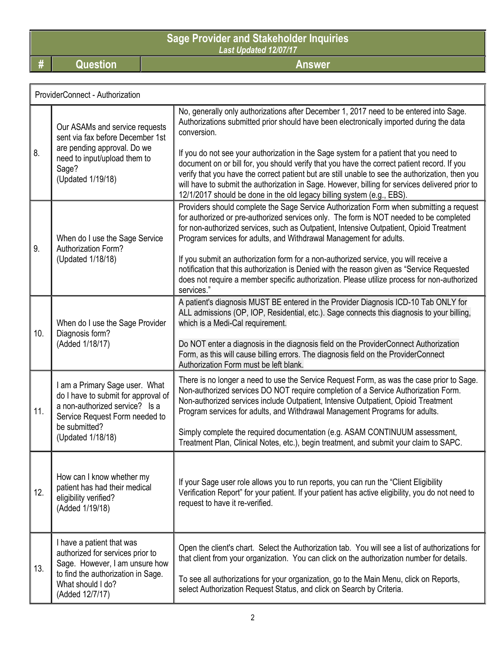**Sage Provider and Stakeholder Inquiries** *Last Updated 12/07/17*

**# Question Answer**

|     | ProviderConnect - Authorization                                                                                                                                                 |                                                                                                                                                                                                                                                                                                                                                                                                                                                                                                                                                                                                                                                                            |  |  |
|-----|---------------------------------------------------------------------------------------------------------------------------------------------------------------------------------|----------------------------------------------------------------------------------------------------------------------------------------------------------------------------------------------------------------------------------------------------------------------------------------------------------------------------------------------------------------------------------------------------------------------------------------------------------------------------------------------------------------------------------------------------------------------------------------------------------------------------------------------------------------------------|--|--|
| 8.  | Our ASAMs and service requests<br>sent via fax before December 1st<br>are pending approval. Do we<br>need to input/upload them to<br>Sage?<br>(Updated 1/19/18)                 | No, generally only authorizations after December 1, 2017 need to be entered into Sage.<br>Authorizations submitted prior should have been electronically imported during the data<br>conversion.<br>If you do not see your authorization in the Sage system for a patient that you need to<br>document on or bill for, you should verify that you have the correct patient record. If you<br>verify that you have the correct patient but are still unable to see the authorization, then you<br>will have to submit the authorization in Sage. However, billing for services delivered prior to<br>12/1/2017 should be done in the old legacy billing system (e.g., EBS). |  |  |
| 9.  | When do I use the Sage Service<br>Authorization Form?<br>(Updated 1/18/18)                                                                                                      | Providers should complete the Sage Service Authorization Form when submitting a request<br>for authorized or pre-authorized services only. The form is NOT needed to be completed<br>for non-authorized services, such as Outpatient, Intensive Outpatient, Opioid Treatment<br>Program services for adults, and Withdrawal Management for adults.<br>If you submit an authorization form for a non-authorized service, you will receive a<br>notification that this authorization is Denied with the reason given as "Service Requested<br>does not require a member specific authorization. Please utilize process for non-authorized<br>services."                      |  |  |
| 10. | When do I use the Sage Provider<br>Diagnosis form?<br>(Added 1/18/17)                                                                                                           | A patient's diagnosis MUST BE entered in the Provider Diagnosis ICD-10 Tab ONLY for<br>ALL admissions (OP, IOP, Residential, etc.). Sage connects this diagnosis to your billing,<br>which is a Medi-Cal requirement.<br>Do NOT enter a diagnosis in the diagnosis field on the ProviderConnect Authorization<br>Form, as this will cause billing errors. The diagnosis field on the ProviderConnect<br>Authorization Form must be left blank.                                                                                                                                                                                                                             |  |  |
| 11. | I am a Primary Sage user. What<br>do I have to submit for approval of<br>a non-authorized service? Is a<br>Service Request Form needed to<br>be submitted?<br>(Updated 1/18/18) | There is no longer a need to use the Service Request Form, as was the case prior to Sage.<br>Non-authorized services DO NOT require completion of a Service Authorization Form.<br>Non-authorized services include Outpatient, Intensive Outpatient, Opioid Treatment<br>Program services for adults, and Withdrawal Management Programs for adults.<br>Simply complete the required documentation (e.g. ASAM CONTINUUM assessment,<br>Treatment Plan, Clinical Notes, etc.), begin treatment, and submit your claim to SAPC.                                                                                                                                              |  |  |
| 12. | How can I know whether my<br>patient has had their medical<br>eligibility verified?<br>(Added 1/19/18)                                                                          | If your Sage user role allows you to run reports, you can run the "Client Eligibility<br>Verification Report" for your patient. If your patient has active eligibility, you do not need to<br>request to have it re-verified.                                                                                                                                                                                                                                                                                                                                                                                                                                              |  |  |
| 13. | I have a patient that was<br>authorized for services prior to<br>Sage. However, I am unsure how<br>to find the authorization in Sage.<br>What should I do?<br>(Added 12/7/17)   | Open the client's chart. Select the Authorization tab. You will see a list of authorizations for<br>that client from your organization. You can click on the authorization number for details.<br>To see all authorizations for your organization, go to the Main Menu, click on Reports,<br>select Authorization Request Status, and click on Search by Criteria.                                                                                                                                                                                                                                                                                                         |  |  |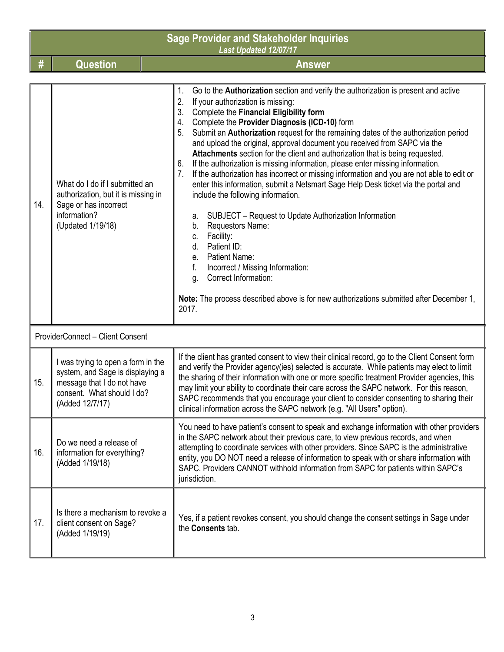|     | <b>Sage Provider and Stakeholder Inquiries</b><br><b>Last Updated 12/07/17</b>                                                                        |                                                                                                                                                                                                                                                                                                                                                                                                                                                                                                                                                                                                                                                                                                                                                                                                                                                                                                                                                                                                                                                                                                                                                             |  |
|-----|-------------------------------------------------------------------------------------------------------------------------------------------------------|-------------------------------------------------------------------------------------------------------------------------------------------------------------------------------------------------------------------------------------------------------------------------------------------------------------------------------------------------------------------------------------------------------------------------------------------------------------------------------------------------------------------------------------------------------------------------------------------------------------------------------------------------------------------------------------------------------------------------------------------------------------------------------------------------------------------------------------------------------------------------------------------------------------------------------------------------------------------------------------------------------------------------------------------------------------------------------------------------------------------------------------------------------------|--|
| #   | <b>Question</b>                                                                                                                                       | <b>Answer</b>                                                                                                                                                                                                                                                                                                                                                                                                                                                                                                                                                                                                                                                                                                                                                                                                                                                                                                                                                                                                                                                                                                                                               |  |
| 14. | What do I do if I submitted an<br>authorization, but it is missing in<br>Sage or has incorrect<br>information?<br>(Updated 1/19/18)                   | Go to the Authorization section and verify the authorization is present and active<br>1.<br>2.<br>If your authorization is missing:<br>Complete the Financial Eligibility form<br>3.<br>Complete the Provider Diagnosis (ICD-10) form<br>4.<br>Submit an Authorization request for the remaining dates of the authorization period<br>5.<br>and upload the original, approval document you received from SAPC via the<br>Attachments section for the client and authorization that is being requested.<br>If the authorization is missing information, please enter missing information.<br>6.<br>If the authorization has incorrect or missing information and you are not able to edit or<br>enter this information, submit a Netsmart Sage Help Desk ticket via the portal and<br>include the following information.<br>SUBJECT - Request to Update Authorization Information<br>а.<br>Requestors Name:<br>b.<br>Facility:<br>C.<br>Patient ID:<br>d.<br>Patient Name:<br>е.<br>f.<br>Incorrect / Missing Information:<br>Correct Information:<br>g.<br>Note: The process described above is for new authorizations submitted after December 1,<br>2017. |  |
|     | ProviderConnect - Client Consent                                                                                                                      |                                                                                                                                                                                                                                                                                                                                                                                                                                                                                                                                                                                                                                                                                                                                                                                                                                                                                                                                                                                                                                                                                                                                                             |  |
| 15. | I was trying to open a form in the<br>system, and Sage is displaying a<br>message that I do not have<br>consent. What should I do?<br>(Added 12/7/17) | If the client has granted consent to view their clinical record, go to the Client Consent form<br>and verify the Provider agency(ies) selected is accurate. While patients may elect to limit<br>the sharing of their information with one or more specific treatment Provider agencies, this<br>may limit your ability to coordinate their care across the SAPC network. For this reason,<br>SAPC recommends that you encourage your client to consider consenting to sharing their<br>clinical information across the SAPC network (e.g. "All Users" option).                                                                                                                                                                                                                                                                                                                                                                                                                                                                                                                                                                                             |  |
| 16. | Do we need a release of<br>information for everything?<br>(Added 1/19/18)                                                                             | You need to have patient's consent to speak and exchange information with other providers<br>in the SAPC network about their previous care, to view previous records, and when<br>attempting to coordinate services with other providers. Since SAPC is the administrative<br>entity, you DO NOT need a release of information to speak with or share information with<br>SAPC. Providers CANNOT withhold information from SAPC for patients within SAPC's<br>jurisdiction.                                                                                                                                                                                                                                                                                                                                                                                                                                                                                                                                                                                                                                                                                 |  |
| 17. | Is there a mechanism to revoke a<br>client consent on Sage?<br>(Added 1/19/19)                                                                        | Yes, if a patient revokes consent, you should change the consent settings in Sage under<br>the Consents tab.                                                                                                                                                                                                                                                                                                                                                                                                                                                                                                                                                                                                                                                                                                                                                                                                                                                                                                                                                                                                                                                |  |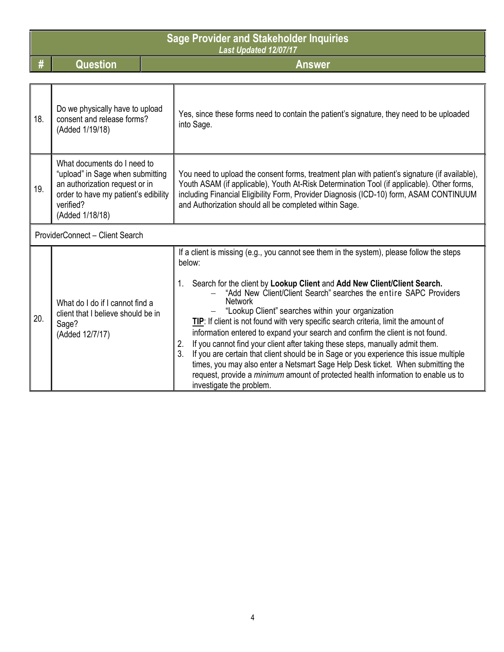|     | <b>Sage Provider and Stakeholder Inquiries</b><br>Last Updated 12/07/17                                                                                                   |                                                                                                                                                                                                                                                                                                                                                                                                                                                                                                                                                                                                                                                                                             |  |
|-----|---------------------------------------------------------------------------------------------------------------------------------------------------------------------------|---------------------------------------------------------------------------------------------------------------------------------------------------------------------------------------------------------------------------------------------------------------------------------------------------------------------------------------------------------------------------------------------------------------------------------------------------------------------------------------------------------------------------------------------------------------------------------------------------------------------------------------------------------------------------------------------|--|
| #   | <b>Question</b>                                                                                                                                                           | <b>Answer</b>                                                                                                                                                                                                                                                                                                                                                                                                                                                                                                                                                                                                                                                                               |  |
|     |                                                                                                                                                                           |                                                                                                                                                                                                                                                                                                                                                                                                                                                                                                                                                                                                                                                                                             |  |
| 18. | Do we physically have to upload<br>consent and release forms?<br>(Added 1/19/18)                                                                                          | Yes, since these forms need to contain the patient's signature, they need to be uploaded<br>into Sage.                                                                                                                                                                                                                                                                                                                                                                                                                                                                                                                                                                                      |  |
| 19. | What documents do I need to<br>"upload" in Sage when submitting<br>an authorization request or in<br>order to have my patient's edibility<br>verified?<br>(Added 1/18/18) | You need to upload the consent forms, treatment plan with patient's signature (if available),<br>Youth ASAM (if applicable), Youth At-Risk Determination Tool (if applicable). Other forms,<br>including Financial Eligibility Form, Provider Diagnosis (ICD-10) form, ASAM CONTINUUM<br>and Authorization should all be completed within Sage.                                                                                                                                                                                                                                                                                                                                             |  |
|     | ProviderConnect - Client Search                                                                                                                                           |                                                                                                                                                                                                                                                                                                                                                                                                                                                                                                                                                                                                                                                                                             |  |
| 20. | What do I do if I cannot find a<br>client that I believe should be in<br>Sage?<br>(Added 12/7/17)                                                                         | If a client is missing (e.g., you cannot see them in the system), please follow the steps<br>below:<br>Search for the client by Lookup Client and Add New Client/Client Search.<br>"Add New Client/Client Search" searches the entire SAPC Providers<br><b>Network</b><br>"Lookup Client" searches within your organization<br>TIP: If client is not found with very specific search criteria, limit the amount of<br>information entered to expand your search and confirm the client is not found.<br>If you cannot find your client after taking these steps, manually admit them.<br>2.<br>3.<br>If you are certain that client should be in Sage or you experience this issue multiple |  |
|     |                                                                                                                                                                           | times, you may also enter a Netsmart Sage Help Desk ticket. When submitting the<br>request, provide a <i>minimum</i> amount of protected health information to enable us to<br>investigate the problem.                                                                                                                                                                                                                                                                                                                                                                                                                                                                                     |  |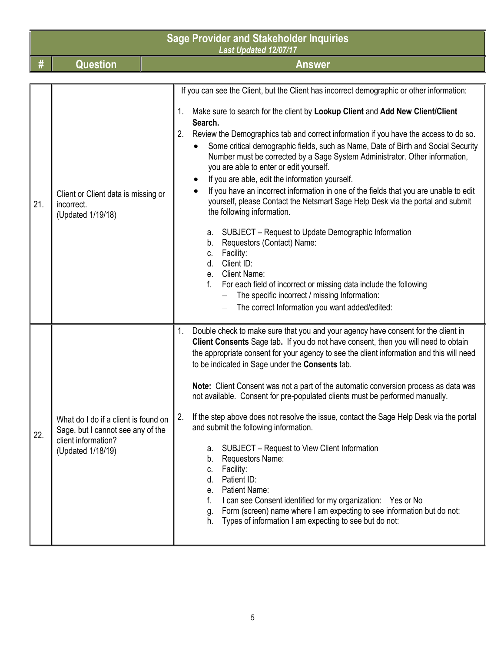|     | <b>Sage Provider and Stakeholder Inquiries</b><br>Last Updated 12/07/17                                               |                                                                                                                                                                                                                                                                                                                                                                                                                                                                                                                                                                                                                                                                                                                                                                                                                                                                                                                                                                                                                                                                                                                        |  |
|-----|-----------------------------------------------------------------------------------------------------------------------|------------------------------------------------------------------------------------------------------------------------------------------------------------------------------------------------------------------------------------------------------------------------------------------------------------------------------------------------------------------------------------------------------------------------------------------------------------------------------------------------------------------------------------------------------------------------------------------------------------------------------------------------------------------------------------------------------------------------------------------------------------------------------------------------------------------------------------------------------------------------------------------------------------------------------------------------------------------------------------------------------------------------------------------------------------------------------------------------------------------------|--|
| #   | <b>Question</b>                                                                                                       | <b>Answer</b>                                                                                                                                                                                                                                                                                                                                                                                                                                                                                                                                                                                                                                                                                                                                                                                                                                                                                                                                                                                                                                                                                                          |  |
| 21. | Client or Client data is missing or<br>incorrect.<br>(Updated 1/19/18)                                                | If you can see the Client, but the Client has incorrect demographic or other information:<br>Make sure to search for the client by Lookup Client and Add New Client/Client<br>Search.<br>2.<br>Review the Demographics tab and correct information if you have the access to do so.<br>Some critical demographic fields, such as Name, Date of Birth and Social Security<br>Number must be corrected by a Sage System Administrator. Other information,<br>you are able to enter or edit yourself.<br>If you are able, edit the information yourself.<br>If you have an incorrect information in one of the fields that you are unable to edit<br>yourself, please Contact the Netsmart Sage Help Desk via the portal and submit<br>the following information.<br>SUBJECT - Request to Update Demographic Information<br>a.<br>Requestors (Contact) Name:<br>b.<br>Facility:<br>C.<br>d.<br>Client ID:<br><b>Client Name:</b><br>$e_{-}$<br>f.<br>For each field of incorrect or missing data include the following<br>The specific incorrect / missing Information:<br>The correct Information you want added/edited: |  |
| 22. | What do I do if a client is found on<br>Sage, but I cannot see any of the<br>client information?<br>(Updated 1/18/19) | Double check to make sure that you and your agency have consent for the client in<br>1.<br>Client Consents Sage tab. If you do not have consent, then you will need to obtain<br>the appropriate consent for your agency to see the client information and this will need<br>to be indicated in Sage under the Consents tab.<br>Note: Client Consent was not a part of the automatic conversion process as data was<br>not available. Consent for pre-populated clients must be performed manually.<br>If the step above does not resolve the issue, contact the Sage Help Desk via the portal<br>2.<br>and submit the following information.<br>SUBJECT - Request to View Client Information<br>а.<br>Requestors Name:<br>b.<br>Facility:<br>C.<br>Patient ID:<br>d.<br>Patient Name:<br>е.<br>f.<br>I can see Consent identified for my organization: Yes or No<br>Form (screen) name where I am expecting to see information but do not:<br>g.<br>h. Types of information I am expecting to see but do not:                                                                                                         |  |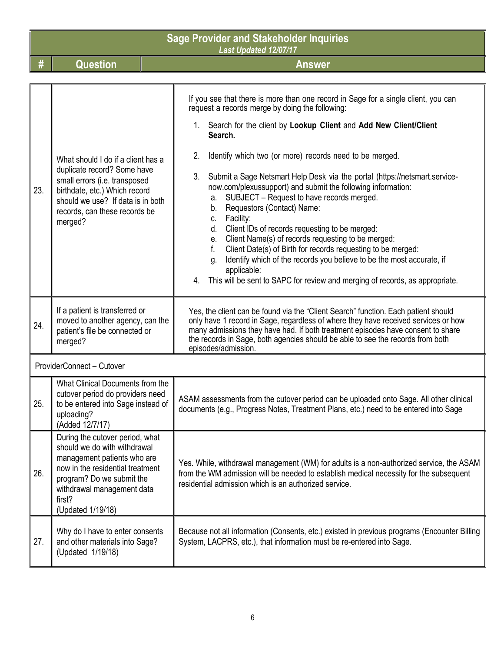|     | <b>Sage Provider and Stakeholder Inquiries</b><br>Last Updated 12/07/17                                                                                                                                                      |                                                                                                                                                                                                                                                                                                                                                                      |  |
|-----|------------------------------------------------------------------------------------------------------------------------------------------------------------------------------------------------------------------------------|----------------------------------------------------------------------------------------------------------------------------------------------------------------------------------------------------------------------------------------------------------------------------------------------------------------------------------------------------------------------|--|
| #   | <b>Question</b>                                                                                                                                                                                                              | <b>Answer</b>                                                                                                                                                                                                                                                                                                                                                        |  |
|     |                                                                                                                                                                                                                              |                                                                                                                                                                                                                                                                                                                                                                      |  |
|     |                                                                                                                                                                                                                              | If you see that there is more than one record in Sage for a single client, you can<br>request a records merge by doing the following:                                                                                                                                                                                                                                |  |
|     |                                                                                                                                                                                                                              | 1. Search for the client by Lookup Client and Add New Client/Client<br>Search.                                                                                                                                                                                                                                                                                       |  |
|     | What should I do if a client has a                                                                                                                                                                                           | 2.<br>Identify which two (or more) records need to be merged.                                                                                                                                                                                                                                                                                                        |  |
| 23. | duplicate record? Some have<br>small errors (i.e. transposed<br>birthdate, etc.) Which record<br>should we use? If data is in both                                                                                           | Submit a Sage Netsmart Help Desk via the portal (https://netsmart.service-<br>3.<br>now.com/plexussupport) and submit the following information:<br>SUBJECT - Request to have records merged.<br>a.                                                                                                                                                                  |  |
|     | records, can these records be<br>merged?                                                                                                                                                                                     | Requestors (Contact) Name:<br>b.<br>Facility:<br>C.                                                                                                                                                                                                                                                                                                                  |  |
|     |                                                                                                                                                                                                                              | Client IDs of records requesting to be merged:<br>d.                                                                                                                                                                                                                                                                                                                 |  |
|     |                                                                                                                                                                                                                              | Client Name(s) of records requesting to be merged:<br>е.<br>$f_{\cdot}$<br>Client Date(s) of Birth for records requesting to be merged:                                                                                                                                                                                                                              |  |
|     |                                                                                                                                                                                                                              | Identify which of the records you believe to be the most accurate, if<br>g.                                                                                                                                                                                                                                                                                          |  |
|     |                                                                                                                                                                                                                              | applicable:<br>This will be sent to SAPC for review and merging of records, as appropriate.<br>4.                                                                                                                                                                                                                                                                    |  |
| 24. | If a patient is transferred or<br>moved to another agency, can the<br>patient's file be connected or<br>merged?                                                                                                              | Yes, the client can be found via the "Client Search" function. Each patient should<br>only have 1 record in Sage, regardless of where they have received services or how<br>many admissions they have had. If both treatment episodes have consent to share<br>the records in Sage, both agencies should be able to see the records from both<br>episodes/admission. |  |
|     | ProviderConnect - Cutover                                                                                                                                                                                                    |                                                                                                                                                                                                                                                                                                                                                                      |  |
| 25. | What Clinical Documents from the<br>cutover period do providers need<br>to be entered into Sage instead of<br>uploading?<br>(Added 12/7/17)                                                                                  | ASAM assessments from the cutover period can be uploaded onto Sage. All other clinical<br>documents (e.g., Progress Notes, Treatment Plans, etc.) need to be entered into Sage                                                                                                                                                                                       |  |
| 26. | During the cutover period, what<br>should we do with withdrawal<br>management patients who are<br>now in the residential treatment<br>program? Do we submit the<br>withdrawal management data<br>first?<br>(Updated 1/19/18) | Yes. While, withdrawal management (WM) for adults is a non-authorized service, the ASAM<br>from the WM admission will be needed to establish medical necessity for the subsequent<br>residential admission which is an authorized service.                                                                                                                           |  |
| 27. | Why do I have to enter consents<br>and other materials into Sage?<br>(Updated 1/19/18)                                                                                                                                       | Because not all information (Consents, etc.) existed in previous programs (Encounter Billing<br>System, LACPRS, etc.), that information must be re-entered into Sage.                                                                                                                                                                                                |  |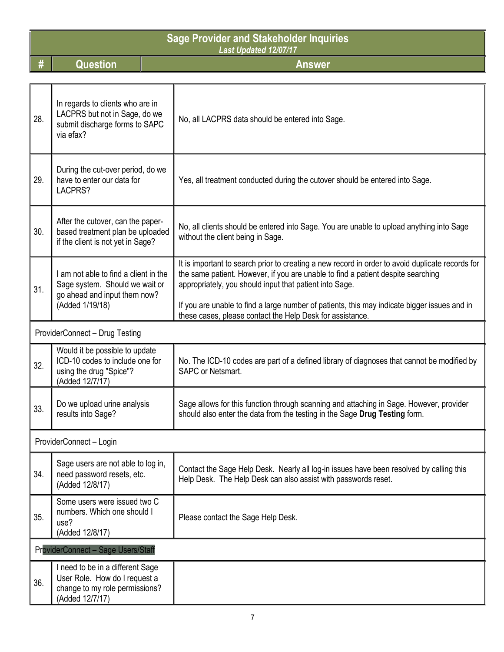| <b>Sage Provider and Stakeholder Inquiries</b><br><b>Last Updated 12/07/17</b> |                                                                                                                            |  |                                                                                                                                                                                                                                                                                                                                                                                                              |  |
|--------------------------------------------------------------------------------|----------------------------------------------------------------------------------------------------------------------------|--|--------------------------------------------------------------------------------------------------------------------------------------------------------------------------------------------------------------------------------------------------------------------------------------------------------------------------------------------------------------------------------------------------------------|--|
| #                                                                              | <b>Question</b>                                                                                                            |  | <b>Answer</b>                                                                                                                                                                                                                                                                                                                                                                                                |  |
|                                                                                |                                                                                                                            |  |                                                                                                                                                                                                                                                                                                                                                                                                              |  |
| 28.                                                                            | In regards to clients who are in<br>LACPRS but not in Sage, do we<br>submit discharge forms to SAPC<br>via efax?           |  | No, all LACPRS data should be entered into Sage.                                                                                                                                                                                                                                                                                                                                                             |  |
| 29.                                                                            | During the cut-over period, do we<br>have to enter our data for<br>LACPRS?                                                 |  | Yes, all treatment conducted during the cutover should be entered into Sage.                                                                                                                                                                                                                                                                                                                                 |  |
| 30.                                                                            | After the cutover, can the paper-<br>based treatment plan be uploaded<br>if the client is not yet in Sage?                 |  | No, all clients should be entered into Sage. You are unable to upload anything into Sage<br>without the client being in Sage.                                                                                                                                                                                                                                                                                |  |
| 31.                                                                            | I am not able to find a client in the<br>Sage system. Should we wait or<br>go ahead and input them now?<br>(Added 1/19/18) |  | It is important to search prior to creating a new record in order to avoid duplicate records for<br>the same patient. However, if you are unable to find a patient despite searching<br>appropriately, you should input that patient into Sage.<br>If you are unable to find a large number of patients, this may indicate bigger issues and in<br>these cases, please contact the Help Desk for assistance. |  |
|                                                                                | ProviderConnect - Drug Testing                                                                                             |  |                                                                                                                                                                                                                                                                                                                                                                                                              |  |
| 32.                                                                            | Would it be possible to update<br>ICD-10 codes to include one for<br>using the drug "Spice"?<br>(Added 12/7/17)            |  | No. The ICD-10 codes are part of a defined library of diagnoses that cannot be modified by<br><b>SAPC or Netsmart.</b>                                                                                                                                                                                                                                                                                       |  |
| 33.                                                                            | Do we upload urine analysis<br>results into Sage?                                                                          |  | Sage allows for this function through scanning and attaching in Sage. However, provider<br>should also enter the data from the testing in the Sage Drug Testing form.                                                                                                                                                                                                                                        |  |
|                                                                                | ProviderConnect - Login                                                                                                    |  |                                                                                                                                                                                                                                                                                                                                                                                                              |  |
| 34.                                                                            | Sage users are not able to log in,<br>need password resets, etc.<br>(Added 12/8/17)                                        |  | Contact the Sage Help Desk. Nearly all log-in issues have been resolved by calling this<br>Help Desk. The Help Desk can also assist with passwords reset.                                                                                                                                                                                                                                                    |  |
| 35.                                                                            | Some users were issued two C<br>numbers. Which one should I<br>use?<br>(Added 12/8/17)                                     |  | Please contact the Sage Help Desk.                                                                                                                                                                                                                                                                                                                                                                           |  |
|                                                                                | <b>ProviderConnect - Sage Users/Staff</b>                                                                                  |  |                                                                                                                                                                                                                                                                                                                                                                                                              |  |
| 36.                                                                            | I need to be in a different Sage<br>User Role. How do I request a<br>change to my role permissions?<br>(Added 12/7/17)     |  |                                                                                                                                                                                                                                                                                                                                                                                                              |  |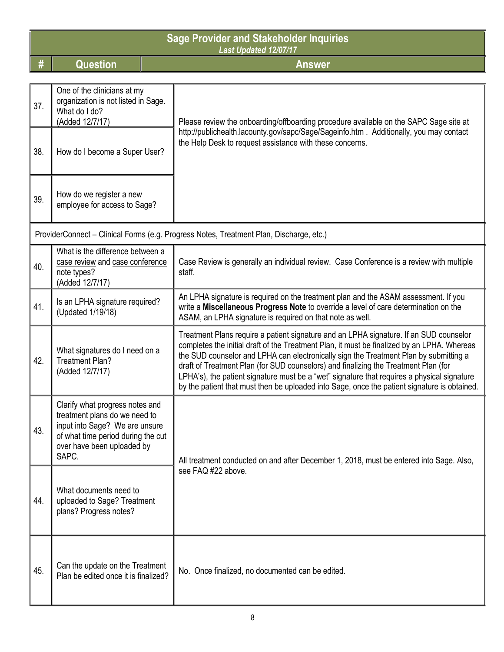| <b>Sage Provider and Stakeholder Inquiries</b><br>Last Updated 12/07/17 |                                                                                                                                                                                 |                                                                                                                                                                                                                                                                                                                                                                                                                                                                                                                                                                      |
|-------------------------------------------------------------------------|---------------------------------------------------------------------------------------------------------------------------------------------------------------------------------|----------------------------------------------------------------------------------------------------------------------------------------------------------------------------------------------------------------------------------------------------------------------------------------------------------------------------------------------------------------------------------------------------------------------------------------------------------------------------------------------------------------------------------------------------------------------|
| #                                                                       | <b>Question</b>                                                                                                                                                                 | <b>Answer</b>                                                                                                                                                                                                                                                                                                                                                                                                                                                                                                                                                        |
| 37.                                                                     | One of the clinicians at my<br>organization is not listed in Sage.<br>What do I do?<br>(Added 12/7/17)                                                                          | Please review the onboarding/offboarding procedure available on the SAPC Sage site at                                                                                                                                                                                                                                                                                                                                                                                                                                                                                |
| 38.                                                                     | How do I become a Super User?                                                                                                                                                   | http://publichealth.lacounty.gov/sapc/Sage/Sageinfo.htm. Additionally, you may contact<br>the Help Desk to request assistance with these concerns.                                                                                                                                                                                                                                                                                                                                                                                                                   |
| 39.                                                                     | How do we register a new<br>employee for access to Sage?                                                                                                                        |                                                                                                                                                                                                                                                                                                                                                                                                                                                                                                                                                                      |
|                                                                         |                                                                                                                                                                                 | ProviderConnect - Clinical Forms (e.g. Progress Notes, Treatment Plan, Discharge, etc.)                                                                                                                                                                                                                                                                                                                                                                                                                                                                              |
| 40.                                                                     | What is the difference between a<br>case review and case conference<br>note types?<br>(Added 12/7/17)                                                                           | Case Review is generally an individual review. Case Conference is a review with multiple<br>staff.                                                                                                                                                                                                                                                                                                                                                                                                                                                                   |
| 41.                                                                     | Is an LPHA signature required?<br>(Updated 1/19/18)                                                                                                                             | An LPHA signature is required on the treatment plan and the ASAM assessment. If you<br>write a Miscellaneous Progress Note to override a level of care determination on the<br>ASAM, an LPHA signature is required on that note as well.                                                                                                                                                                                                                                                                                                                             |
| 42.                                                                     | What signatures do I need on a<br><b>Treatment Plan?</b><br>(Added 12/7/17)                                                                                                     | Treatment Plans require a patient signature and an LPHA signature. If an SUD counselor<br>completes the initial draft of the Treatment Plan, it must be finalized by an LPHA. Whereas<br>the SUD counselor and LPHA can electronically sign the Treatment Plan by submitting a<br>draft of Treatment Plan (for SUD counselors) and finalizing the Treatment Plan (for<br>LPHA's), the patient signature must be a "wet" signature that requires a physical signature<br>by the patient that must then be uploaded into Sage, once the patient signature is obtained. |
| 43.                                                                     | Clarify what progress notes and<br>treatment plans do we need to<br>input into Sage? We are unsure<br>of what time period during the cut<br>over have been uploaded by<br>SAPC. | All treatment conducted on and after December 1, 2018, must be entered into Sage. Also,                                                                                                                                                                                                                                                                                                                                                                                                                                                                              |
| 44.                                                                     | What documents need to<br>uploaded to Sage? Treatment<br>plans? Progress notes?                                                                                                 | see FAQ #22 above.                                                                                                                                                                                                                                                                                                                                                                                                                                                                                                                                                   |
| 45.                                                                     | Can the update on the Treatment<br>Plan be edited once it is finalized?                                                                                                         | No. Once finalized, no documented can be edited.                                                                                                                                                                                                                                                                                                                                                                                                                                                                                                                     |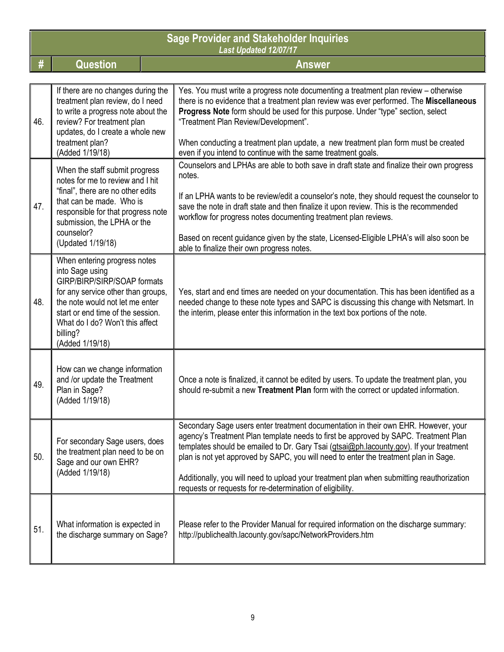|     | <b>Sage Provider and Stakeholder Inquiries</b><br><b>Last Updated 12/07/17</b>                                                                                                                                                                                 |                                                                                                                                                                                                                                                                                                                                                                                                                                                                                                                        |  |  |
|-----|----------------------------------------------------------------------------------------------------------------------------------------------------------------------------------------------------------------------------------------------------------------|------------------------------------------------------------------------------------------------------------------------------------------------------------------------------------------------------------------------------------------------------------------------------------------------------------------------------------------------------------------------------------------------------------------------------------------------------------------------------------------------------------------------|--|--|
| #   | <b>Question</b>                                                                                                                                                                                                                                                | <b>Answer</b>                                                                                                                                                                                                                                                                                                                                                                                                                                                                                                          |  |  |
| 46. | If there are no changes during the<br>treatment plan review, do I need<br>to write a progress note about the<br>review? For treatment plan<br>updates, do I create a whole new<br>treatment plan?<br>(Added 1/19/18)                                           | Yes. You must write a progress note documenting a treatment plan review – otherwise<br>there is no evidence that a treatment plan review was ever performed. The Miscellaneous<br>Progress Note form should be used for this purpose. Under "type" section, select<br>"Treatment Plan Review/Development".<br>When conducting a treatment plan update, a new treatment plan form must be created<br>even if you intend to continue with the same treatment goals.                                                      |  |  |
| 47. | When the staff submit progress<br>notes for me to review and I hit<br>"final", there are no other edits<br>that can be made. Who is<br>responsible for that progress note<br>submission, the LPHA or the<br>counselor?<br>(Updated 1/19/18)                    | Counselors and LPHAs are able to both save in draft state and finalize their own progress<br>notes.<br>If an LPHA wants to be review/edit a counselor's note, they should request the counselor to<br>save the note in draft state and then finalize it upon review. This is the recommended<br>workflow for progress notes documenting treatment plan reviews.<br>Based on recent guidance given by the state, Licensed-Eligible LPHA's will also soon be<br>able to finalize their own progress notes.               |  |  |
| 48. | When entering progress notes<br>into Sage using<br>GIRP/BIRP/SIRP/SOAP formats<br>for any service other than groups,<br>the note would not let me enter<br>start or end time of the session.<br>What do I do? Won't this affect<br>billing?<br>(Added 1/19/18) | Yes, start and end times are needed on your documentation. This has been identified as a<br>needed change to these note types and SAPC is discussing this change with Netsmart. In<br>the interim, please enter this information in the text box portions of the note.                                                                                                                                                                                                                                                 |  |  |
| 49. | How can we change information<br>and /or update the Treatment<br>Plan in Sage?<br>(Added 1/19/18)                                                                                                                                                              | Once a note is finalized, it cannot be edited by users. To update the treatment plan, you<br>should re-submit a new Treatment Plan form with the correct or updated information.                                                                                                                                                                                                                                                                                                                                       |  |  |
| 50. | For secondary Sage users, does<br>the treatment plan need to be on<br>Sage and our own EHR?<br>(Added 1/19/18)                                                                                                                                                 | Secondary Sage users enter treatment documentation in their own EHR. However, your<br>agency's Treatment Plan template needs to first be approved by SAPC. Treatment Plan<br>templates should be emailed to Dr. Gary Tsai (gtsai@ph.lacounty.gov). If your treatment<br>plan is not yet approved by SAPC, you will need to enter the treatment plan in Sage.<br>Additionally, you will need to upload your treatment plan when submitting reauthorization<br>requests or requests for re-determination of eligibility. |  |  |
| 51. | What information is expected in<br>the discharge summary on Sage?                                                                                                                                                                                              | Please refer to the Provider Manual for required information on the discharge summary:<br>http://publichealth.lacounty.gov/sapc/NetworkProviders.htm                                                                                                                                                                                                                                                                                                                                                                   |  |  |